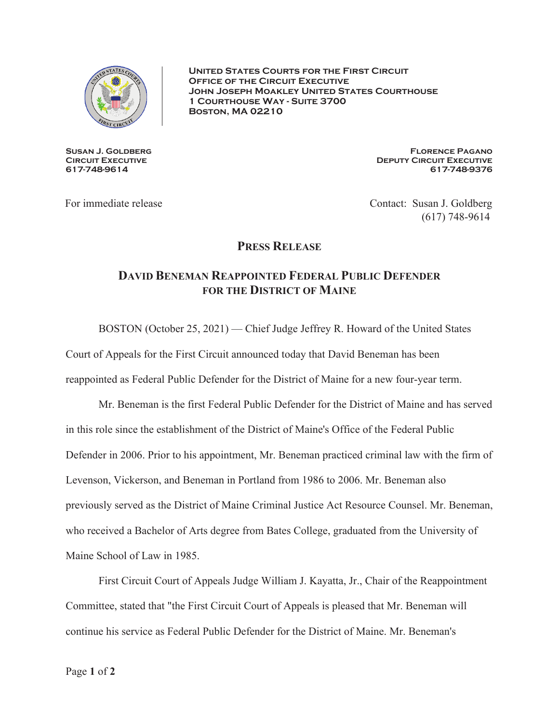

**United States Courts for the First Circuit Office of the Circuit Executive John Joseph Moakley United States Courthouse 1 Courthouse Way - Suite 3700 Boston, MA 02210** 

**Susan J. Goldberg CIRCUIT EXECUTIVE 617-748-9614** 

**Florence Pagano Deputy Circuit Executive 617-748-9376** 

For immediate release Contact: Susan J. Goldberg (617) 748-9614

## **PRESS RELEASE**

## **DAVID BENEMAN REAPPOINTED FEDERAL PUBLIC DEFENDER FOR THE DISTRICT OF MAINE**

BOSTON (October 25, 2021) — Chief Judge Jeffrey R. Howard of the United States

Court of Appeals for the First Circuit announced today that David Beneman has been

reappointed as Federal Public Defender for the District of Maine for a new four-year term.

Mr. Beneman is the first Federal Public Defender for the District of Maine and has served in this role since the establishment of the District of Maine's Office of the Federal Public Defender in 2006. Prior to his appointment, Mr. Beneman practiced criminal law with the firm of Levenson, Vickerson, and Beneman in Portland from 1986 to 2006. Mr. Beneman also previously served as the District of Maine Criminal Justice Act Resource Counsel. Mr. Beneman, who received a Bachelor of Arts degree from Bates College, graduated from the University of Maine School of Law in 1985.

 First Circuit Court of Appeals Judge William J. Kayatta, Jr., Chair of the Reappointment Committee, stated that "the First Circuit Court of Appeals is pleased that Mr. Beneman will continue his service as Federal Public Defender for the District of Maine. Mr. Beneman's